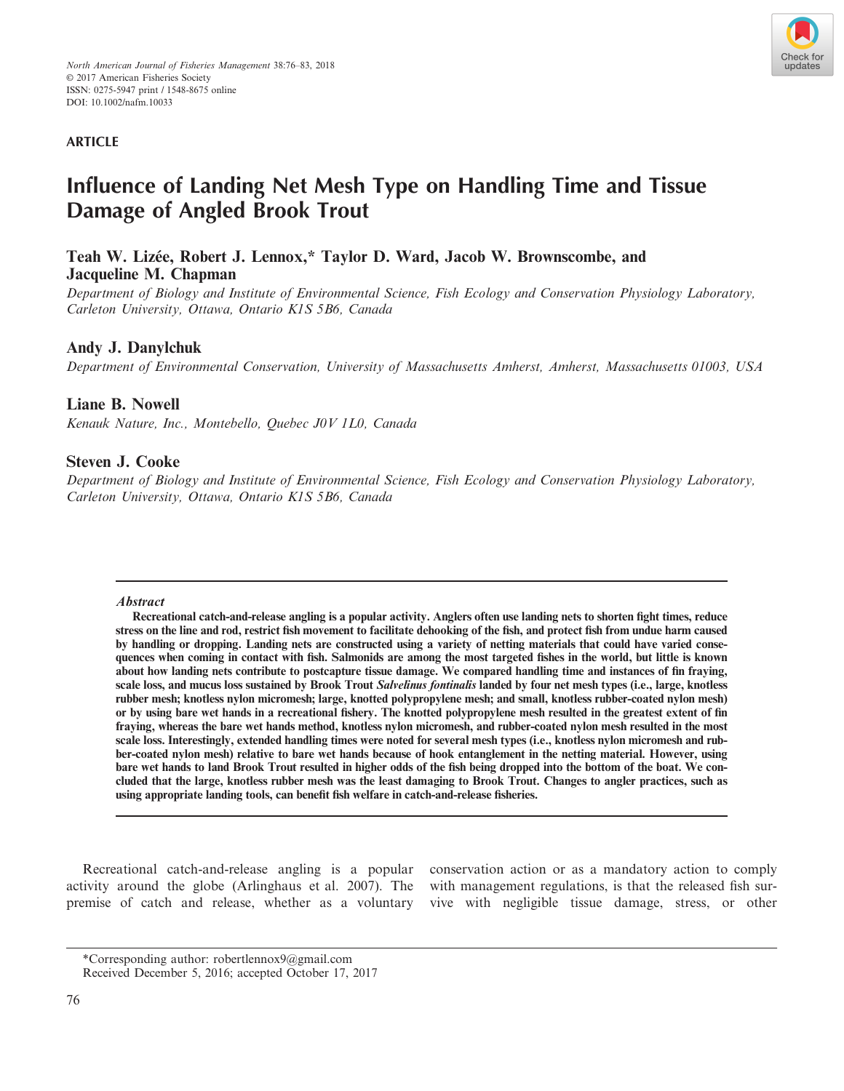## **ARTICLE**



# **Influence of Landing Net Mesh Type on Handling Time and Tissue Damage of Angled Brook Trout**

# **Teah W. Lizée, Robert J. Lennox,\* Taylor D. Ward, Jacob W. Brownscombe, and Jacqueline M. Chapman**

*Department of Biology and Institute of Environmental Science, Fish Ecology and Conservation Physiology Laboratory, Carleton University, Ottawa, Ontario K1S 5B6, Canada*

## **Andy J. Danylchuk**

*Department of Environmental Conservation, University of Massachusetts Amherst, Amherst, Massachusetts 01003, USA*

# **Liane B. Nowell**

*Kenauk Nature, Inc., Montebello, Quebec J0V 1L0, Canada*

# **Steven J. Cooke**

*Department of Biology and Institute of Environmental Science, Fish Ecology and Conservation Physiology Laboratory, Carleton University, Ottawa, Ontario K1S 5B6, Canada*

## **Abstract**

**Recreational catch-and-release angling is a popular activity. Anglers often use landing nets to shorten fight times, reduce stress on the line and rod, restrict fish movement to facilitate dehooking of the fish, and protect fish from undue harm caused by handling or dropping. Landing nets are constructed using a variety of netting materials that could have varied consequences when coming in contact with fish. Salmonids are among the most targeted fishes in the world, but little is known about how landing nets contribute to postcapture tissue damage. We compared handling time and instances of fin fraying, scale loss, and mucus loss sustained by Brook Trout Salvelinus fontinalis landed by four net mesh types (i.e., large, knotless rubber mesh; knotless nylon micromesh; large, knotted polypropylene mesh; and small, knotless rubber-coated nylon mesh) or by using bare wet hands in a recreational fishery. The knotted polypropylene mesh resulted in the greatest extent of fin fraying, whereas the bare wet hands method, knotless nylon micromesh, and rubber-coated nylon mesh resulted in the most scale loss. Interestingly, extended handling times were noted for several mesh types (i.e., knotless nylon micromesh and rubber-coated nylon mesh) relative to bare wet hands because of hook entanglement in the netting material. However, using bare wet hands to land Brook Trout resulted in higher odds of the fish being dropped into the bottom of the boat. We concluded that the large, knotless rubber mesh was the least damaging to Brook Trout. Changes to angler practices, such as using appropriate landing tools, can benefit fish welfare in catch-and-release fisheries.**

Recreational catch-and-release angling is a popular activity around the globe (Arlinghaus et al. 2007). The premise of catch and release, whether as a voluntary

conservation action or as a mandatory action to comply with management regulations, is that the released fish survive with negligible tissue damage, stress, or other

<sup>\*</sup>Corresponding author: robertlennox9@gmail.com

Received December 5, 2016; accepted October 17, 2017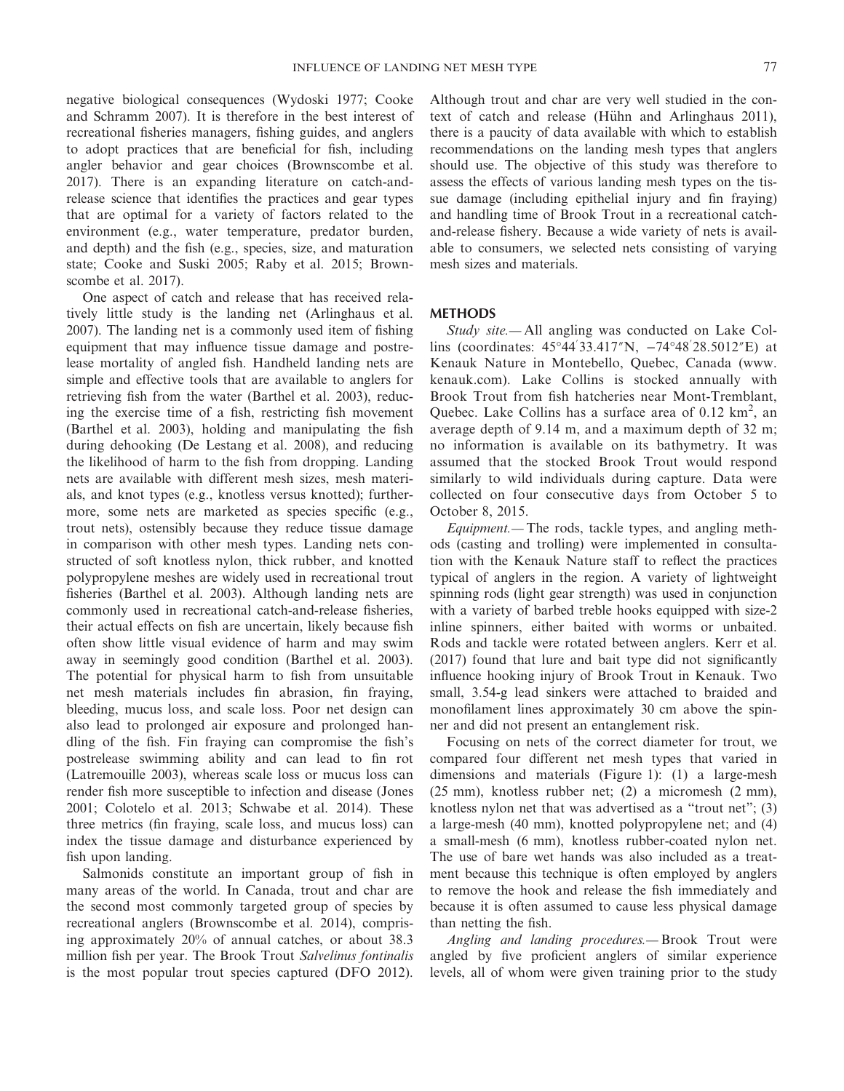negative biological consequences (Wydoski 1977; Cooke and Schramm 2007). It is therefore in the best interest of recreational fisheries managers, fishing guides, and anglers to adopt practices that are beneficial for fish, including angler behavior and gear choices (Brownscombe et al. 2017). There is an expanding literature on catch-andrelease science that identifies the practices and gear types that are optimal for a variety of factors related to the environment (e.g., water temperature, predator burden, and depth) and the fish (e.g., species, size, and maturation state; Cooke and Suski 2005; Raby et al. 2015; Brownscombe et al. 2017).

One aspect of catch and release that has received relatively little study is the landing net (Arlinghaus et al. 2007). The landing net is a commonly used item of fishing equipment that may influence tissue damage and postrelease mortality of angled fish. Handheld landing nets are simple and effective tools that are available to anglers for retrieving fish from the water (Barthel et al. 2003), reducing the exercise time of a fish, restricting fish movement (Barthel et al. 2003), holding and manipulating the fish during dehooking (De Lestang et al. 2008), and reducing the likelihood of harm to the fish from dropping. Landing nets are available with different mesh sizes, mesh materials, and knot types (e.g., knotless versus knotted); furthermore, some nets are marketed as species specific (e.g., trout nets), ostensibly because they reduce tissue damage in comparison with other mesh types. Landing nets constructed of soft knotless nylon, thick rubber, and knotted polypropylene meshes are widely used in recreational trout fisheries (Barthel et al. 2003). Although landing nets are commonly used in recreational catch-and-release fisheries, their actual effects on fish are uncertain, likely because fish often show little visual evidence of harm and may swim away in seemingly good condition (Barthel et al. 2003). The potential for physical harm to fish from unsuitable net mesh materials includes fin abrasion, fin fraying, bleeding, mucus loss, and scale loss. Poor net design can also lead to prolonged air exposure and prolonged handling of the fish. Fin fraying can compromise the fish's postrelease swimming ability and can lead to fin rot (Latremouille 2003), whereas scale loss or mucus loss can render fish more susceptible to infection and disease (Jones 2001; Colotelo et al. 2013; Schwabe et al. 2014). These three metrics (fin fraying, scale loss, and mucus loss) can index the tissue damage and disturbance experienced by fish upon landing.

Salmonids constitute an important group of fish in many areas of the world. In Canada, trout and char are the second most commonly targeted group of species by recreational anglers (Brownscombe et al. 2014), comprising approximately 20% of annual catches, or about 38.3 million fish per year. The Brook Trout *Salvelinus fontinalis* is the most popular trout species captured (DFO 2012). Although trout and char are very well studied in the context of catch and release (Hühn and Arlinghaus  $2011$ ), there is a paucity of data available with which to establish recommendations on the landing mesh types that anglers should use. The objective of this study was therefore to assess the effects of various landing mesh types on the tissue damage (including epithelial injury and fin fraying) and handling time of Brook Trout in a recreational catchand-release fishery. Because a wide variety of nets is available to consumers, we selected nets consisting of varying mesh sizes and materials.

#### **METHODS**

*Study site.—* All angling was conducted on Lake Collins (coordinates: 45°44′ 33.417″N, −74°48′ 28.5012″E) at Kenauk Nature in Montebello, Quebec, Canada [\(www.](http://www.kenauk.com) [kenauk.com\)](http://www.kenauk.com). Lake Collins is stocked annually with Brook Trout from fish hatcheries near Mont-Tremblant, Quebec. Lake Collins has a surface area of  $0.12 \text{ km}^2$ , an average depth of 9.14 m, and a maximum depth of 32 m; no information is available on its bathymetry. It was assumed that the stocked Brook Trout would respond similarly to wild individuals during capture. Data were collected on four consecutive days from October 5 to October 8, 2015.

*Equipment.—* The rods, tackle types, and angling methods (casting and trolling) were implemented in consultation with the Kenauk Nature staff to reflect the practices typical of anglers in the region. A variety of lightweight spinning rods (light gear strength) was used in conjunction with a variety of barbed treble hooks equipped with size-2 inline spinners, either baited with worms or unbaited. Rods and tackle were rotated between anglers. Kerr et al. (2017) found that lure and bait type did not significantly influence hooking injury of Brook Trout in Kenauk. Two small, 3.54-g lead sinkers were attached to braided and monofilament lines approximately 30 cm above the spinner and did not present an entanglement risk.

Focusing on nets of the correct diameter for trout, we compared four different net mesh types that varied in dimensions and materials (Figure 1): (1) a large-mesh (25 mm), knotless rubber net; (2) a micromesh (2 mm), knotless nylon net that was advertised as a "trout net"; (3) a large-mesh (40 mm), knotted polypropylene net; and (4) a small-mesh (6 mm), knotless rubber-coated nylon net. The use of bare wet hands was also included as a treatment because this technique is often employed by anglers to remove the hook and release the fish immediately and because it is often assumed to cause less physical damage than netting the fish.

*Angling and landing procedures.—* Brook Trout were angled by five proficient anglers of similar experience levels, all of whom were given training prior to the study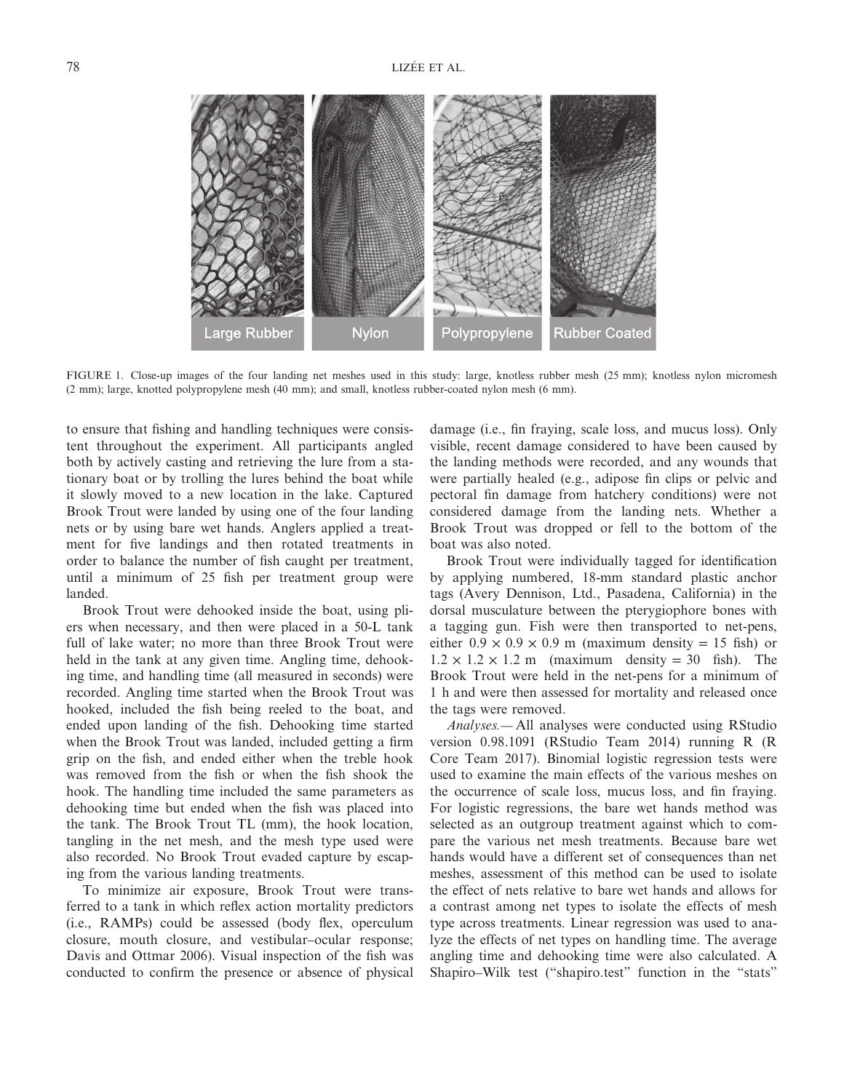

FIGURE 1. Close-up images of the four landing net meshes used in this study: large, knotless rubber mesh (25 mm); knotless nylon micromesh (2 mm); large, knotted polypropylene mesh (40 mm); and small, knotless rubber-coated nylon mesh (6 mm).

to ensure that fishing and handling techniques were consistent throughout the experiment. All participants angled both by actively casting and retrieving the lure from a stationary boat or by trolling the lures behind the boat while it slowly moved to a new location in the lake. Captured Brook Trout were landed by using one of the four landing nets or by using bare wet hands. Anglers applied a treatment for five landings and then rotated treatments in order to balance the number of fish caught per treatment, until a minimum of 25 fish per treatment group were landed.

Brook Trout were dehooked inside the boat, using pliers when necessary, and then were placed in a 50-L tank full of lake water; no more than three Brook Trout were held in the tank at any given time. Angling time, dehooking time, and handling time (all measured in seconds) were recorded. Angling time started when the Brook Trout was hooked, included the fish being reeled to the boat, and ended upon landing of the fish. Dehooking time started when the Brook Trout was landed, included getting a firm grip on the fish, and ended either when the treble hook was removed from the fish or when the fish shook the hook. The handling time included the same parameters as dehooking time but ended when the fish was placed into the tank. The Brook Trout TL (mm), the hook location, tangling in the net mesh, and the mesh type used were also recorded. No Brook Trout evaded capture by escaping from the various landing treatments.

To minimize air exposure, Brook Trout were transferred to a tank in which reflex action mortality predictors (i.e., RAMPs) could be assessed (body flex, operculum closure, mouth closure, and vestibular–ocular response; Davis and Ottmar 2006). Visual inspection of the fish was conducted to confirm the presence or absence of physical damage (i.e., fin fraying, scale loss, and mucus loss). Only visible, recent damage considered to have been caused by the landing methods were recorded, and any wounds that were partially healed (e.g., adipose fin clips or pelvic and pectoral fin damage from hatchery conditions) were not considered damage from the landing nets. Whether a Brook Trout was dropped or fell to the bottom of the boat was also noted.

Brook Trout were individually tagged for identification by applying numbered, 18-mm standard plastic anchor tags (Avery Dennison, Ltd., Pasadena, California) in the dorsal musculature between the pterygiophore bones with a tagging gun. Fish were then transported to net-pens, either  $0.9 \times 0.9 \times 0.9$  m (maximum density = 15 fish) or  $1.2 \times 1.2 \times 1.2$  m (maximum density = 30 fish). The Brook Trout were held in the net-pens for a minimum of 1 h and were then assessed for mortality and released once the tags were removed.

*Analyses.—* All analyses were conducted using RStudio version 0.98.1091 (RStudio Team 2014) running R (R Core Team 2017). Binomial logistic regression tests were used to examine the main effects of the various meshes on the occurrence of scale loss, mucus loss, and fin fraying. For logistic regressions, the bare wet hands method was selected as an outgroup treatment against which to compare the various net mesh treatments. Because bare wet hands would have a different set of consequences than net meshes, assessment of this method can be used to isolate the effect of nets relative to bare wet hands and allows for a contrast among net types to isolate the effects of mesh type across treatments. Linear regression was used to analyze the effects of net types on handling time. The average angling time and dehooking time were also calculated. A Shapiro–Wilk test ("shapiro.test" function in the "stats"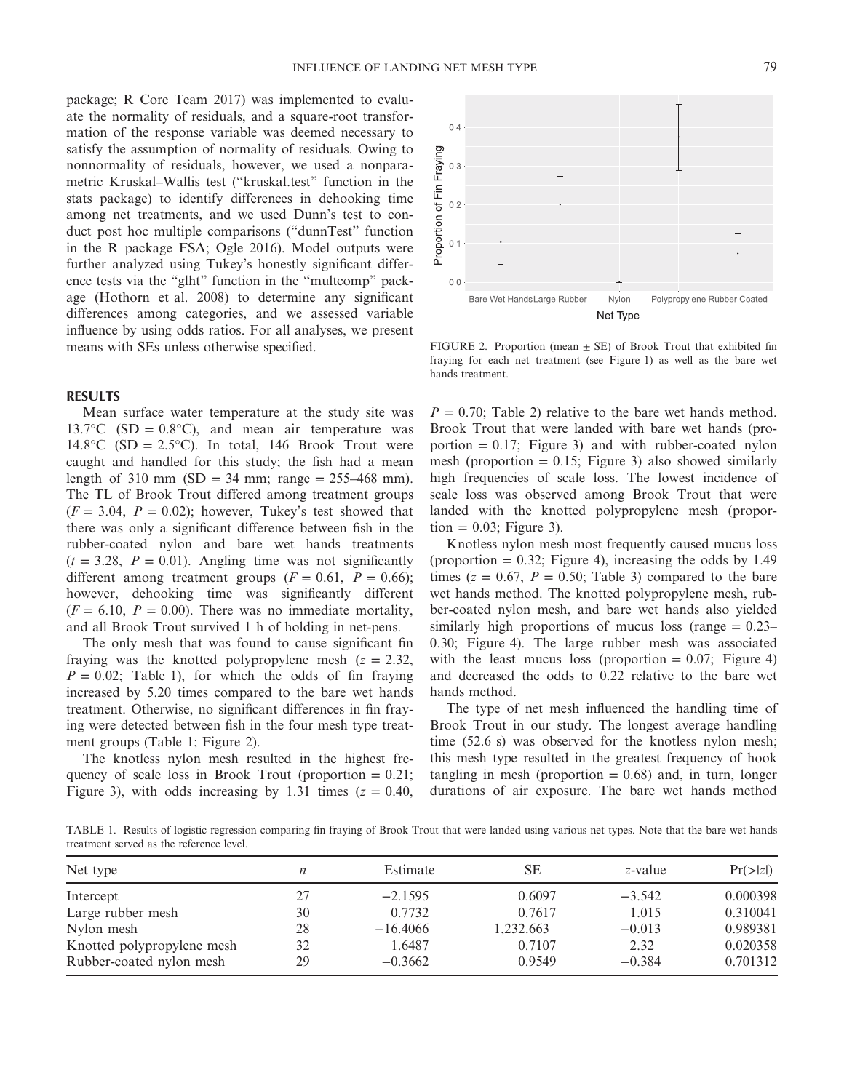package; R Core Team 2017) was implemented to evaluate the normality of residuals, and a square-root transformation of the response variable was deemed necessary to satisfy the assumption of normality of residuals. Owing to nonnormality of residuals, however, we used a nonparametric Kruskal–Wallis test ("kruskal.test" function in the stats package) to identify differences in dehooking time among net treatments, and we used Dunn's test to conduct post hoc multiple comparisons ("dunnTest" function in the R package FSA; Ogle 2016). Model outputs were further analyzed using Tukey's honestly significant difference tests via the "glht" function in the "multcomp" package (Hothorn et al. 2008) to determine any significant differences among categories, and we assessed variable influence by using odds ratios. For all analyses, we present means with SEs unless otherwise specified.

### **RESULTS**

Mean surface water temperature at the study site was 13.7°C (SD =  $0.8$ °C), and mean air temperature was 14.8°C (SD = 2.5°C). In total, 146 Brook Trout were caught and handled for this study; the fish had a mean length of 310 mm (SD = 34 mm; range =  $255-468$  mm). The TL of Brook Trout differed among treatment groups  $(F = 3.04, P = 0.02)$ ; however, Tukey's test showed that there was only a significant difference between fish in the rubber-coated nylon and bare wet hands treatments  $(t = 3.28, P = 0.01)$ . Angling time was not significantly different among treatment groups  $(F = 0.61, P = 0.66)$ ; however, dehooking time was significantly different  $(F = 6.10, P = 0.00)$ . There was no immediate mortality, and all Brook Trout survived 1 h of holding in net-pens.

The only mesh that was found to cause significant fin fraying was the knotted polypropylene mesh  $(z = 2.32, ...)$  $P = 0.02$ ; Table 1), for which the odds of fin fraying increased by 5.20 times compared to the bare wet hands treatment. Otherwise, no significant differences in fin fraying were detected between fish in the four mesh type treatment groups (Table 1; Figure 2).

The knotless nylon mesh resulted in the highest frequency of scale loss in Brook Trout (proportion  $= 0.21$ ; Figure 3), with odds increasing by 1.31 times  $(z = 0.40,$ 



FIGURE 2. Proportion (mean  $\pm$  SE) of Brook Trout that exhibited fin fraying for each net treatment (see Figure 1) as well as the bare wet hands treatment.

 $P = 0.70$ ; Table 2) relative to the bare wet hands method. Brook Trout that were landed with bare wet hands (proportion  $= 0.17$ ; Figure 3) and with rubber-coated nylon mesh (proportion  $= 0.15$ ; Figure 3) also showed similarly high frequencies of scale loss. The lowest incidence of scale loss was observed among Brook Trout that were landed with the knotted polypropylene mesh (proportion  $= 0.03$ ; Figure 3).

Knotless nylon mesh most frequently caused mucus loss (proportion  $= 0.32$ ; Figure 4), increasing the odds by 1.49 times ( $z = 0.67$ ,  $P = 0.50$ ; Table 3) compared to the bare wet hands method. The knotted polypropylene mesh, rubber-coated nylon mesh, and bare wet hands also yielded similarly high proportions of mucus loss (range  $= 0.23-$ 0.30; Figure 4). The large rubber mesh was associated with the least mucus loss (proportion  $= 0.07$ ; Figure 4) and decreased the odds to 0.22 relative to the bare wet hands method.

The type of net mesh influenced the handling time of Brook Trout in our study. The longest average handling time (52.6 s) was observed for the knotless nylon mesh; this mesh type resulted in the greatest frequency of hook tangling in mesh (proportion  $= 0.68$ ) and, in turn, longer durations of air exposure. The bare wet hands method

TABLE 1. Results of logistic regression comparing fin fraying of Brook Trout that were landed using various net types. Note that the bare wet hands treatment served as the reference level.

| Net type                   | n  | Estimate   | SЕ        | $z$ -value | $Pr(>\vert z \vert)$ |
|----------------------------|----|------------|-----------|------------|----------------------|
| Intercept                  | 27 | $-2.1595$  | 0.6097    | $-3.542$   | 0.000398             |
| Large rubber mesh          | 30 | 0.7732     | 0.7617    | 1.015      | 0.310041             |
| Nylon mesh                 | 28 | $-16.4066$ | 1,232.663 | $-0.013$   | 0.989381             |
| Knotted polypropylene mesh | 32 | 1.6487     | 0.7107    | 2.32       | 0.020358             |
| Rubber-coated nylon mesh   | 29 | $-0.3662$  | 0.9549    | $-0.384$   | 0.701312             |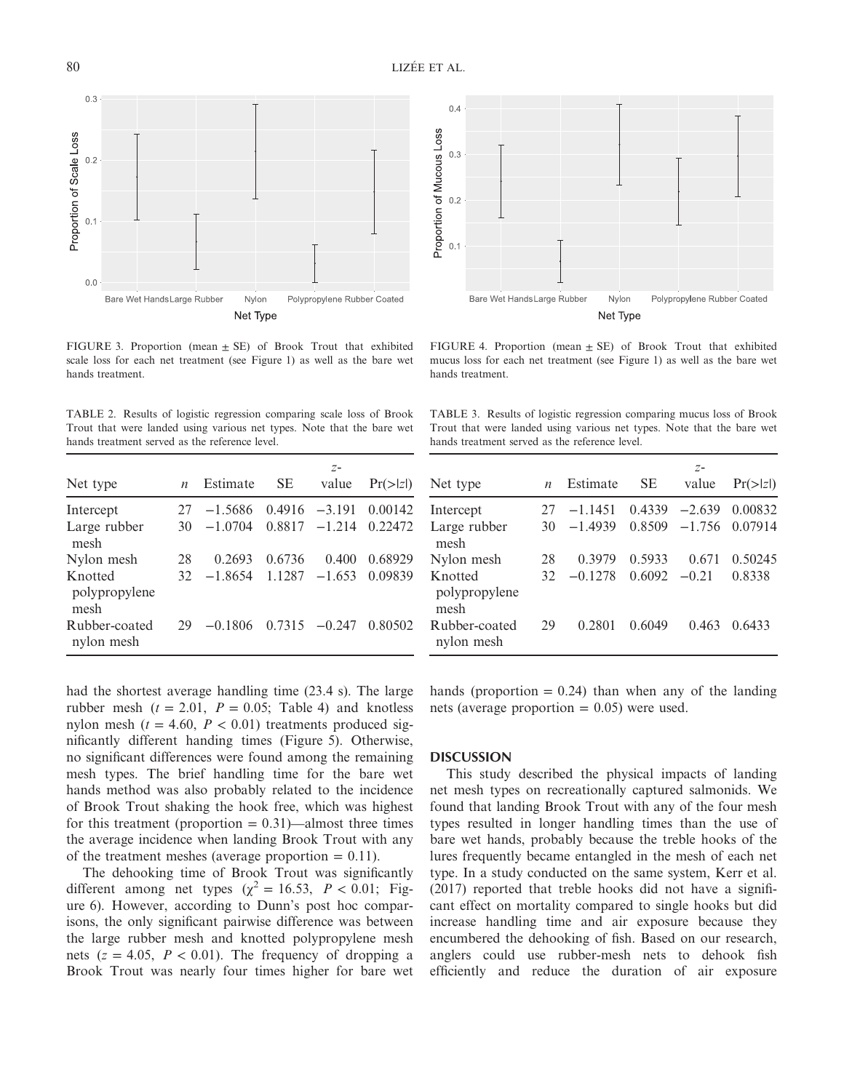$0.4$ 

Net Type FIGURE 3. Proportion (mean  $\pm$  SE) of Brook Trout that exhibited scale loss for each net treatment (see Figure 1) as well as the bare wet hands treatment.

Nylon

Polypropylene Rubber Coated

TABLE 2. Results of logistic regression comparing scale loss of Brook Trout that were landed using various net types. Note that the bare wet hands treatment served as the reference level.

The dehooking time of Brook Trout was significantly different among net types ( $\chi^2 = 16.53$ ,  $P < 0.01$ ; Figure 6). However, according to Dunn's post hoc comparisons, the only significant pairwise difference was between the large rubber mesh and knotted polypropylene mesh nets  $(z = 4.05, P < 0.01)$ . The frequency of dropping a Brook Trout was nearly four times higher for bare wet hands (proportion  $= 0.24$ ) than when any of the landing nets (average proportion  $= 0.05$ ) were used.

### **DISCUSSION**

Large rubber mesh

Rubber-coated nylon mesh

Knotted polypropylene

mesh

This study described the physical impacts of landing net mesh types on recreationally captured salmonids. We found that landing Brook Trout with any of the four mesh types resulted in longer handling times than the use of bare wet hands, probably because the treble hooks of the lures frequently became entangled in the mesh of each net type. In a study conducted on the same system, Kerr et al. (2017) reported that treble hooks did not have a significant effect on mortality compared to single hooks but did increase handling time and air exposure because they encumbered the dehooking of fish. Based on our research, anglers could use rubber-mesh nets to dehook fish efficiently and reduce the duration of air exposure



FIGURE 4. Proportion (mean  $\pm$  SE) of Brook Trout that exhibited mucus loss for each net treatment (see Figure 1) as well as the bare wet hands treatment.

TABLE 3. Results of logistic regression comparing mucus loss of Brook Trout that were landed using various net types. Note that the bare wet

Intercept 27 −1.1451 0.4339 −2.639 0.00832

Nylon mesh 28 0.3979 0.5933 0.671 0.50245<br>Knotted 32 -0.1278 0.6092 -0.21 0.8338

*z*-

30 −1.4939 0.8509 −1.756 0.07914

29 0.2801 0.6049 0.463 0.6433

32 −0.1278 0.6092 −0.21 0.8338

value Pr(>|z|)

hands treatment served as the reference level.

Net type  $n$  Estimate SE





Proportion of Scale Loss

 $0.3$ 

 $0.2$ 

 $0.0$ 

Bare Wet Hands Large Rubber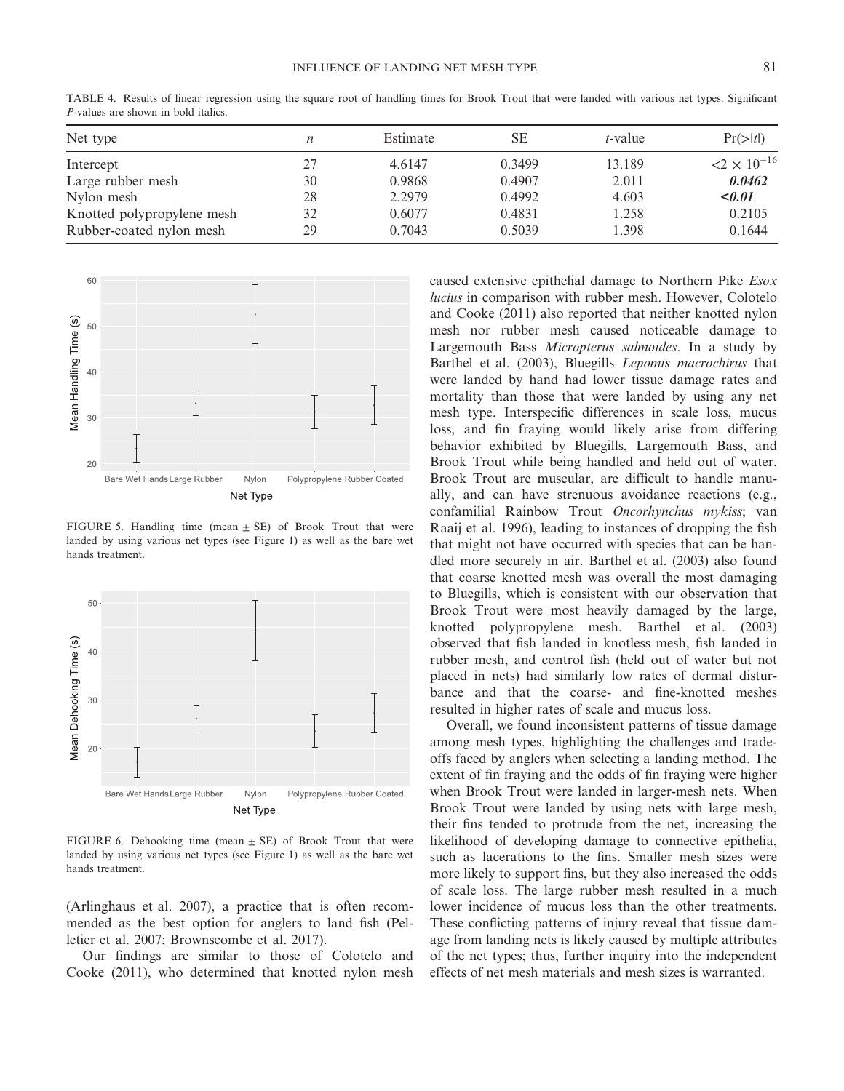| Net type                   | n  | Estimate | SЕ     | $t$ -value | $Pr(>\vert t \vert)$             |
|----------------------------|----|----------|--------|------------|----------------------------------|
| Intercept                  |    | 4.6147   | 0.3499 | 13.189     | $<$ 2 $\times$ 10 <sup>-16</sup> |
| Large rubber mesh          | 30 | 0.9868   | 0.4907 | 2.011      | 0.0462                           |
| Nylon mesh                 | 28 | 2.2979   | 0.4992 | 4.603      | $\le 0.01$                       |
| Knotted polypropylene mesh | 32 | 0.6077   | 0.4831 | 1.258      | 0.2105                           |
| Rubber-coated nylon mesh   | 29 | 0.7043   | 0.5039 | 1.398      | 0.1644                           |

TABLE 4. Results of linear regression using the square root of handling times for Brook Trout that were landed with various net types. Significant *P*-values are shown in bold italics.



FIGURE 5. Handling time (mean  $\pm$  SE) of Brook Trout that were landed by using various net types (see Figure 1) as well as the bare wet hands treatment.



FIGURE 6. Dehooking time (mean  $\pm$  SE) of Brook Trout that were landed by using various net types (see Figure 1) as well as the bare wet hands treatment.

(Arlinghaus et al. 2007), a practice that is often recommended as the best option for anglers to land fish (Pelletier et al. 2007; Brownscombe et al. 2017).

Our findings are similar to those of Colotelo and Cooke (2011), who determined that knotted nylon mesh caused extensive epithelial damage to Northern Pike *Esox lucius* in comparison with rubber mesh. However, Colotelo and Cooke (2011) also reported that neither knotted nylon mesh nor rubber mesh caused noticeable damage to Largemouth Bass *Micropterus salmoides*. In a study by Barthel et al. (2003), Bluegills *Lepomis macrochirus* that were landed by hand had lower tissue damage rates and mortality than those that were landed by using any net mesh type. Interspecific differences in scale loss, mucus loss, and fin fraying would likely arise from differing behavior exhibited by Bluegills, Largemouth Bass, and Brook Trout while being handled and held out of water. Brook Trout are muscular, are difficult to handle manually, and can have strenuous avoidance reactions (e.g., confamilial Rainbow Trout *Oncorhynchus mykiss*; van Raaij et al. 1996), leading to instances of dropping the fish that might not have occurred with species that can be handled more securely in air. Barthel et al. (2003) also found that coarse knotted mesh was overall the most damaging to Bluegills, which is consistent with our observation that Brook Trout were most heavily damaged by the large, knotted polypropylene mesh. Barthel et al. (2003) observed that fish landed in knotless mesh, fish landed in rubber mesh, and control fish (held out of water but not placed in nets) had similarly low rates of dermal disturbance and that the coarse- and fine-knotted meshes resulted in higher rates of scale and mucus loss.

Overall, we found inconsistent patterns of tissue damage among mesh types, highlighting the challenges and tradeoffs faced by anglers when selecting a landing method. The extent of fin fraying and the odds of fin fraying were higher when Brook Trout were landed in larger-mesh nets. When Brook Trout were landed by using nets with large mesh, their fins tended to protrude from the net, increasing the likelihood of developing damage to connective epithelia, such as lacerations to the fins. Smaller mesh sizes were more likely to support fins, but they also increased the odds of scale loss. The large rubber mesh resulted in a much lower incidence of mucus loss than the other treatments. These conflicting patterns of injury reveal that tissue damage from landing nets is likely caused by multiple attributes of the net types; thus, further inquiry into the independent effects of net mesh materials and mesh sizes is warranted.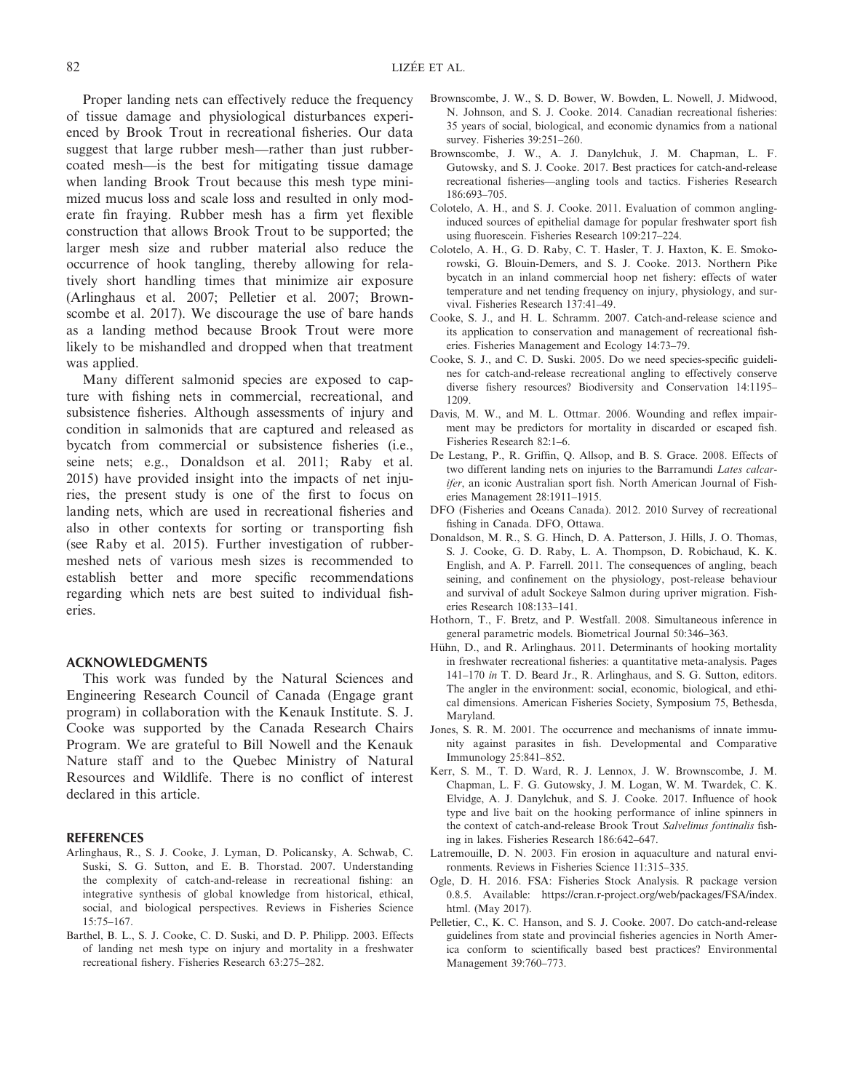Proper landing nets can effectively reduce the frequency of tissue damage and physiological disturbances experienced by Brook Trout in recreational fisheries. Our data suggest that large rubber mesh—rather than just rubbercoated mesh—is the best for mitigating tissue damage when landing Brook Trout because this mesh type minimized mucus loss and scale loss and resulted in only moderate fin fraying. Rubber mesh has a firm yet flexible construction that allows Brook Trout to be supported; the larger mesh size and rubber material also reduce the occurrence of hook tangling, thereby allowing for relatively short handling times that minimize air exposure (Arlinghaus et al. 2007; Pelletier et al. 2007; Brownscombe et al. 2017). We discourage the use of bare hands as a landing method because Brook Trout were more likely to be mishandled and dropped when that treatment was applied.

Many different salmonid species are exposed to capture with fishing nets in commercial, recreational, and subsistence fisheries. Although assessments of injury and condition in salmonids that are captured and released as bycatch from commercial or subsistence fisheries (i.e., seine nets; e.g., Donaldson et al. 2011; Raby et al. 2015) have provided insight into the impacts of net injuries, the present study is one of the first to focus on landing nets, which are used in recreational fisheries and also in other contexts for sorting or transporting fish (see Raby et al. 2015). Further investigation of rubbermeshed nets of various mesh sizes is recommended to establish better and more specific recommendations regarding which nets are best suited to individual fisheries.

#### **ACKNOWLEDGMENTS**

This work was funded by the Natural Sciences and Engineering Research Council of Canada (Engage grant program) in collaboration with the Kenauk Institute. S. J. Cooke was supported by the Canada Research Chairs Program. We are grateful to Bill Nowell and the Kenauk Nature staff and to the Quebec Ministry of Natural Resources and Wildlife. There is no conflict of interest declared in this article.

#### **REFERENCES**

- Arlinghaus, R., S. J. Cooke, J. Lyman, D. Policansky, A. Schwab, C. Suski, S. G. Sutton, and E. B. Thorstad. 2007. Understanding the complexity of catch-and-release in recreational fishing: an integrative synthesis of global knowledge from historical, ethical, social, and biological perspectives. Reviews in Fisheries Science 15:75–167.
- Barthel, B. L., S. J. Cooke, C. D. Suski, and D. P. Philipp. 2003. Effects of landing net mesh type on injury and mortality in a freshwater recreational fishery. Fisheries Research 63:275–282.
- Brownscombe, J. W., S. D. Bower, W. Bowden, L. Nowell, J. Midwood, N. Johnson, and S. J. Cooke. 2014. Canadian recreational fisheries: 35 years of social, biological, and economic dynamics from a national survey. Fisheries 39:251–260.
- Brownscombe, J. W., A. J. Danylchuk, J. M. Chapman, L. F. Gutowsky, and S. J. Cooke. 2017. Best practices for catch-and-release recreational fisheries—angling tools and tactics. Fisheries Research 186:693–705.
- Colotelo, A. H., and S. J. Cooke. 2011. Evaluation of common anglinginduced sources of epithelial damage for popular freshwater sport fish using fluorescein. Fisheries Research 109:217–224.
- Colotelo, A. H., G. D. Raby, C. T. Hasler, T. J. Haxton, K. E. Smokorowski, G. Blouin-Demers, and S. J. Cooke. 2013. Northern Pike bycatch in an inland commercial hoop net fishery: effects of water temperature and net tending frequency on injury, physiology, and survival. Fisheries Research 137:41–49.
- Cooke, S. J., and H. L. Schramm. 2007. Catch-and-release science and its application to conservation and management of recreational fisheries. Fisheries Management and Ecology 14:73–79.
- Cooke, S. J., and C. D. Suski. 2005. Do we need species-specific guidelines for catch-and-release recreational angling to effectively conserve diverse fishery resources? Biodiversity and Conservation 14:1195– 1209.
- Davis, M. W., and M. L. Ottmar. 2006. Wounding and reflex impairment may be predictors for mortality in discarded or escaped fish. Fisheries Research 82:1–6.
- De Lestang, P., R. Griffin, Q. Allsop, and B. S. Grace. 2008. Effects of two different landing nets on injuries to the Barramundi *Lates calcarifer*, an iconic Australian sport fish. North American Journal of Fisheries Management 28:1911–1915.
- DFO (Fisheries and Oceans Canada). 2012. 2010 Survey of recreational fishing in Canada. DFO, Ottawa.
- Donaldson, M. R., S. G. Hinch, D. A. Patterson, J. Hills, J. O. Thomas, S. J. Cooke, G. D. Raby, L. A. Thompson, D. Robichaud, K. K. English, and A. P. Farrell. 2011. The consequences of angling, beach seining, and confinement on the physiology, post-release behaviour and survival of adult Sockeye Salmon during upriver migration. Fisheries Research 108:133–141.
- Hothorn, T., F. Bretz, and P. Westfall. 2008. Simultaneous inference in general parametric models. Biometrical Journal 50:346–363.
- Hühn, D., and R. Arlinghaus. 2011. Determinants of hooking mortality in freshwater recreational fisheries: a quantitative meta-analysis. Pages 141–170 *in* T. D. Beard Jr., R. Arlinghaus, and S. G. Sutton, editors. The angler in the environment: social, economic, biological, and ethical dimensions. American Fisheries Society, Symposium 75, Bethesda, Maryland.
- Jones, S. R. M. 2001. The occurrence and mechanisms of innate immunity against parasites in fish. Developmental and Comparative Immunology 25:841–852.
- Kerr, S. M., T. D. Ward, R. J. Lennox, J. W. Brownscombe, J. M. Chapman, L. F. G. Gutowsky, J. M. Logan, W. M. Twardek, C. K. Elvidge, A. J. Danylchuk, and S. J. Cooke. 2017. Influence of hook type and live bait on the hooking performance of inline spinners in the context of catch-and-release Brook Trout *Salvelinus fontinalis* fishing in lakes. Fisheries Research 186:642–647.
- Latremouille, D. N. 2003. Fin erosion in aquaculture and natural environments. Reviews in Fisheries Science 11:315–335.
- Ogle, D. H. 2016. FSA: Fisheries Stock Analysis. R package version 0.8.5. Available: [https://cran.r-project.org/web/packages/FSA/index.](https://cran.r-project.org/web/packages/FSA/index.html) [html](https://cran.r-project.org/web/packages/FSA/index.html). (May 2017).
- Pelletier, C., K. C. Hanson, and S. J. Cooke. 2007. Do catch-and-release guidelines from state and provincial fisheries agencies in North America conform to scientifically based best practices? Environmental Management 39:760–773.